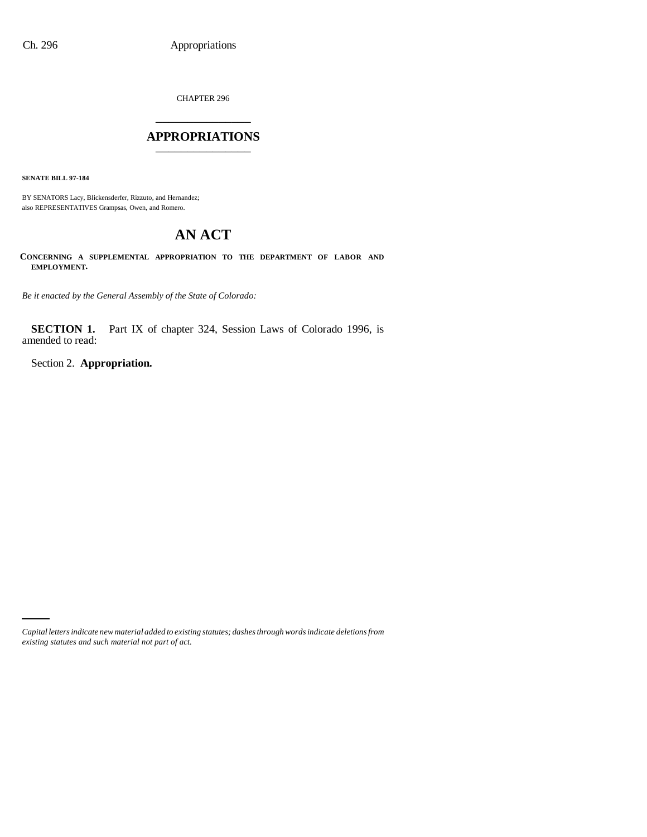CHAPTER 296 \_\_\_\_\_\_\_\_\_\_\_\_\_\_\_

### **APPROPRIATIONS** \_\_\_\_\_\_\_\_\_\_\_\_\_\_\_

**SENATE BILL 97-184**

BY SENATORS Lacy, Blickensderfer, Rizzuto, and Hernandez; also REPRESENTATIVES Grampsas, Owen, and Romero.

# **AN ACT**

**CONCERNING A SUPPLEMENTAL APPROPRIATION TO THE DEPARTMENT OF LABOR AND EMPLOYMENT.**

*Be it enacted by the General Assembly of the State of Colorado:*

**SECTION 1.** Part IX of chapter 324, Session Laws of Colorado 1996, is amended to read:

Section 2. **Appropriation.**

*Capital letters indicate new material added to existing statutes; dashes through words indicate deletions from existing statutes and such material not part of act.*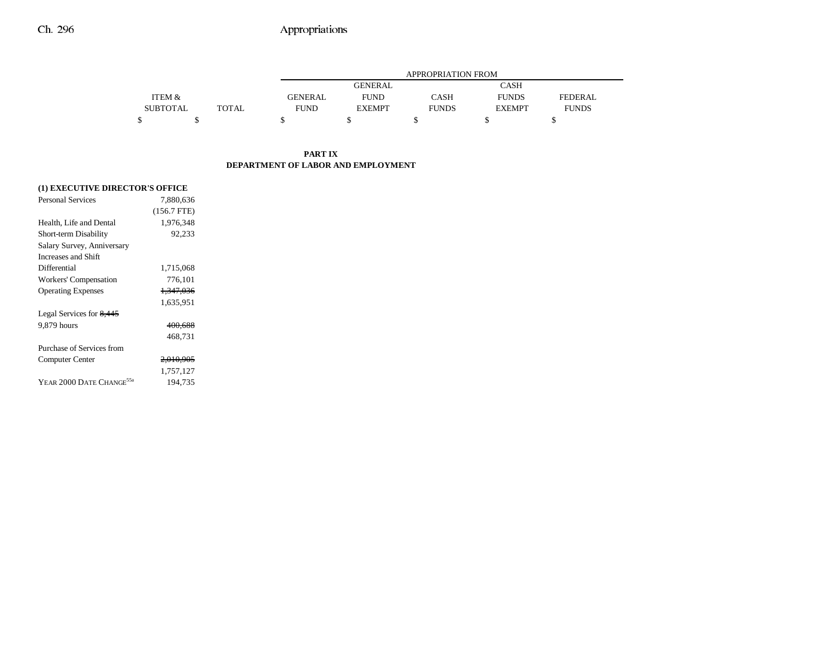|                 |       |             | APPROPRIATION FROM |              |               |              |  |  |
|-----------------|-------|-------------|--------------------|--------------|---------------|--------------|--|--|
|                 |       |             | <b>GENERAL</b>     |              | CASH          |              |  |  |
| ITEM &          |       | GENERAL     | <b>FUND</b>        | <b>CASH</b>  | <b>FUNDS</b>  | FEDERAL.     |  |  |
| <b>SUBTOTAL</b> | TOTAL | <b>FUND</b> | <b>EXEMPT</b>      | <b>FUNDS</b> | <b>EXEMPT</b> | <b>FUNDS</b> |  |  |
|                 |       |             |                    |              |               |              |  |  |

### **PART IXDEPARTMENT OF LABOR AND EMPLOYMENT**

## **(1) EXECUTIVE DIRECTOR'S OFFICE**

| <b>Personal Services</b>             | 7.880.636            |  |
|--------------------------------------|----------------------|--|
|                                      | $(156.7$ FTE)        |  |
| Health, Life and Dental              | 1,976,348            |  |
| Short-term Disability                | 92.233               |  |
| Salary Survey, Anniversary           |                      |  |
| Increases and Shift                  |                      |  |
| Differential                         | 1,715,068            |  |
| Workers' Compensation                | 776,101              |  |
| <b>Operating Expenses</b>            | <del>1,347,036</del> |  |
|                                      | 1,635,951            |  |
| Legal Services for 8,445             |                      |  |
| 9,879 hours                          | <del>400.688</del>   |  |
|                                      | 468.731              |  |
| Purchase of Services from            |                      |  |
| Computer Center                      | 2,010,905            |  |
|                                      | 1,757,127            |  |
| YEAR 2000 DATE CHANGE <sup>55a</sup> | 194.735              |  |
|                                      |                      |  |
|                                      |                      |  |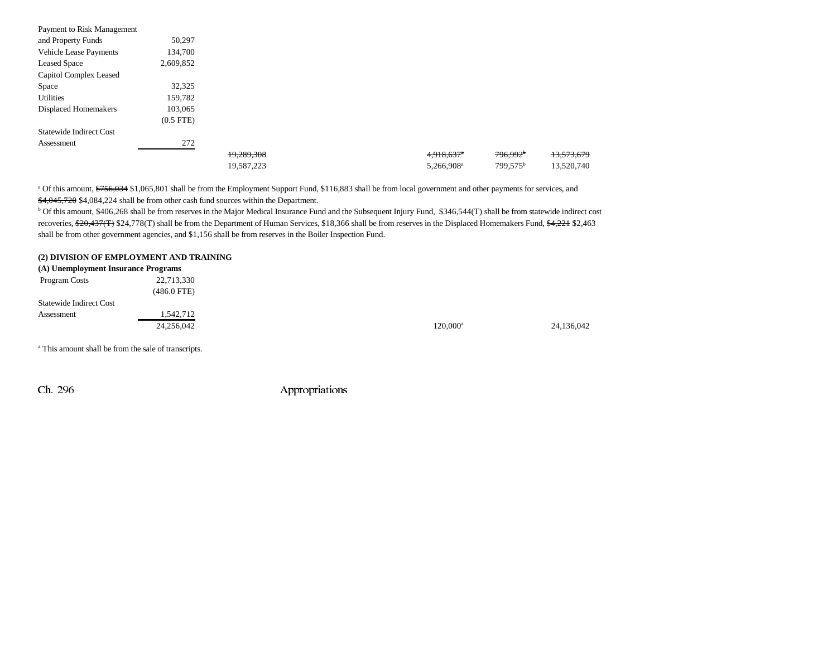| Payment to Risk Management |                |            |                          |                      |            |
|----------------------------|----------------|------------|--------------------------|----------------------|------------|
| and Property Funds         | 50,297         |            |                          |                      |            |
| Vehicle Lease Payments     | 134,700        |            |                          |                      |            |
| <b>Leased Space</b>        | 2,609,852      |            |                          |                      |            |
| Capitol Complex Leased     |                |            |                          |                      |            |
| Space                      | 32,325         |            |                          |                      |            |
| <b>Utilities</b>           | 159,782        |            |                          |                      |            |
| Displaced Homemakers       | 103,065        |            |                          |                      |            |
|                            | $(0.5$ FTE $)$ |            |                          |                      |            |
| Statewide Indirect Cost    |                |            |                          |                      |            |
| Assessment                 | 272            |            |                          |                      |            |
|                            |                | 19,289,308 | $4,918,637$ <sup>a</sup> | 796,992 <sup>b</sup> | 13,573,679 |
|                            |                | 19,587,223 | 5,266,908 <sup>a</sup>   | 799,575 <sup>b</sup> | 13,520,740 |

<sup>a</sup> Of this amount, \$756,034 \$1,065,801 shall be from the Employment Support Fund, \$116,883 shall be from local government and other payments for services, and \$4,045,720 \$4,084,224 shall be from other cash fund sources within the Department.

<sup>b</sup> Of this amount, \$406,268 shall be from reserves in the Major Medical Insurance Fund and the Subsequent Injury Fund, \$346,544(T) shall be from statewide indirect cost recoveries, \$20,437(T) \$24,778(T) shall be from the Department of Human Services, \$18,366 shall be from reserves in the Displaced Homemakers Fund, \$4,221 \$2,463 shall be from other government agencies, and \$1,156 shall be from reserves in the Boiler Inspection Fund.

### **(2) DIVISION OF EMPLOYMENT AND TRAINING**

| (A) Unemployment Insurance Programs |               |             |            |
|-------------------------------------|---------------|-------------|------------|
| Program Costs                       | 22,713,330    |             |            |
|                                     | $(486.0$ FTE) |             |            |
| <b>Statewide Indirect Cost</b>      |               |             |            |
| Assessment                          | 1,542,712     |             |            |
|                                     | 24,256,042    | $120.000^a$ | 24,136,042 |

a This amount shall be from the sale of transcripts.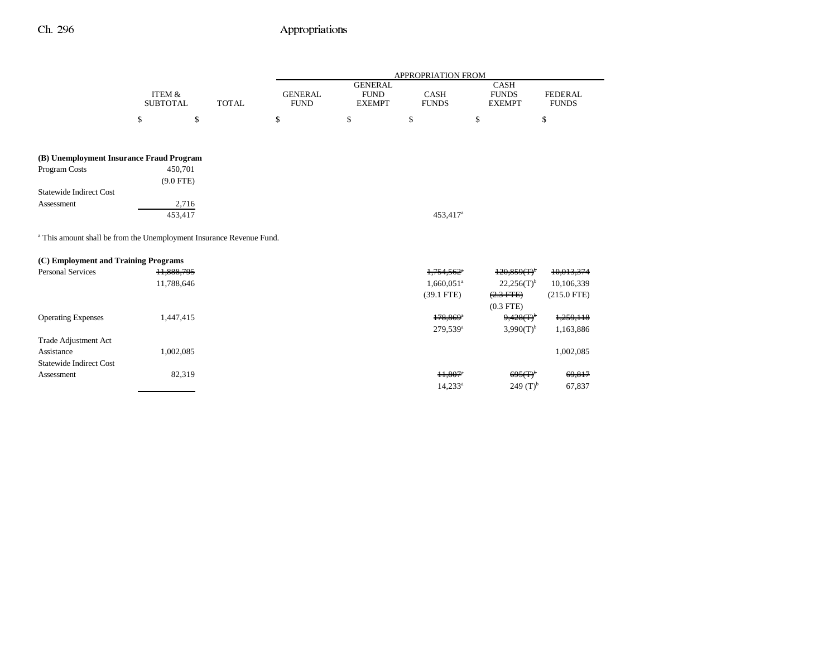|                                                                                 |                                      |              | APPROPRIATION FROM            |                                                |                             |                                              |                                |
|---------------------------------------------------------------------------------|--------------------------------------|--------------|-------------------------------|------------------------------------------------|-----------------------------|----------------------------------------------|--------------------------------|
|                                                                                 | <b>ITEM &amp;</b><br><b>SUBTOTAL</b> | <b>TOTAL</b> | <b>GENERAL</b><br><b>FUND</b> | <b>GENERAL</b><br><b>FUND</b><br><b>EXEMPT</b> | <b>CASH</b><br><b>FUNDS</b> | <b>CASH</b><br><b>FUNDS</b><br><b>EXEMPT</b> | <b>FEDERAL</b><br><b>FUNDS</b> |
|                                                                                 | \$                                   | \$           | \$                            | \$                                             | \$                          | \$                                           | \$                             |
| (B) Unemployment Insurance Fraud Program                                        |                                      |              |                               |                                                |                             |                                              |                                |
| Program Costs                                                                   | 450,701                              |              |                               |                                                |                             |                                              |                                |
|                                                                                 | $(9.0$ FTE)                          |              |                               |                                                |                             |                                              |                                |
| <b>Statewide Indirect Cost</b>                                                  |                                      |              |                               |                                                |                             |                                              |                                |
| Assessment                                                                      | 2,716                                |              |                               |                                                |                             |                                              |                                |
|                                                                                 | 453,417                              |              |                               |                                                | 453,417 <sup>a</sup>        |                                              |                                |
| <sup>a</sup> This amount shall be from the Unemployment Insurance Revenue Fund. |                                      |              |                               |                                                |                             |                                              |                                |
| (C) Employment and Training Programs                                            |                                      |              |                               |                                                |                             |                                              |                                |
| <b>Personal Services</b>                                                        | 11,888,795                           |              |                               |                                                | $1,754,562$ <sup>a</sup>    | $120,859(T)$ <sup>b</sup>                    | 10,013,374                     |
|                                                                                 | 11,788,646                           |              |                               |                                                | $1,660,051$ <sup>a</sup>    | $22,256(T)^{b}$                              | 10,106,339                     |
|                                                                                 |                                      |              |                               |                                                | $(39.1$ FTE)                | $(2.3$ FTE $)$<br>$(0.3$ FTE $)$             | $(215.0$ FTE)                  |
| <b>Operating Expenses</b>                                                       | 1,447,415                            |              |                               |                                                | $178,869$ <sup>*</sup>      | $9,428(T)^{b}$                               | 1,259,118                      |
|                                                                                 |                                      |              |                               |                                                | 279,539 <sup>a</sup>        | $3,990(T)^{b}$                               | 1,163,886                      |
| <b>Trade Adjustment Act</b>                                                     |                                      |              |                               |                                                |                             |                                              |                                |
| Assistance                                                                      | 1,002,085                            |              |                               |                                                |                             |                                              | 1,002,085                      |
| <b>Statewide Indirect Cost</b>                                                  |                                      |              |                               |                                                |                             |                                              |                                |
| Assessment                                                                      | 82,319                               |              |                               |                                                | $11,807$ <sup>*</sup>       | $695(f)^6$                                   | 69,817                         |
|                                                                                 |                                      |              |                               |                                                | $14,233^a$                  | $249(T)^{b}$                                 | 67,837                         |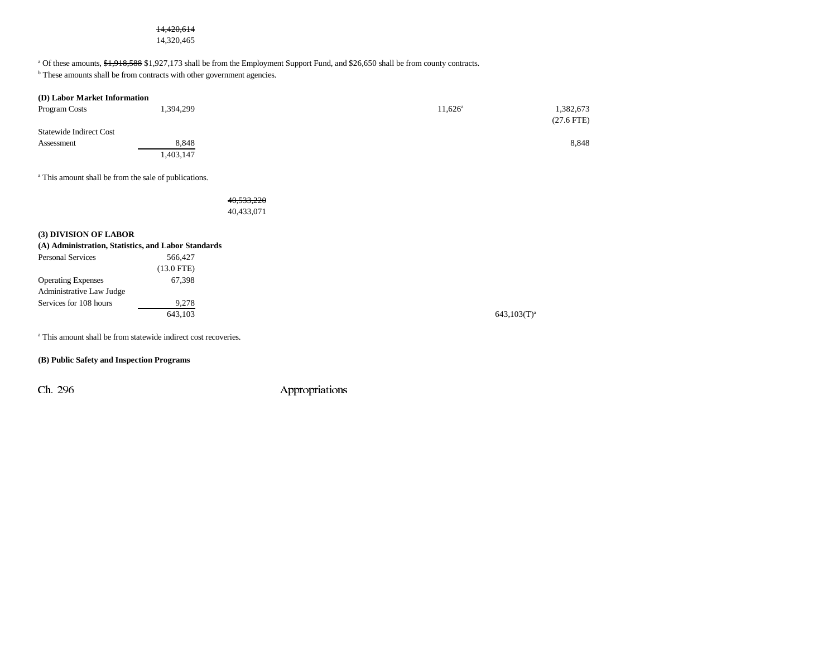# 14,420,614

14,320,465

<sup>a</sup> Of these amounts,  $\frac{1}{21}$ ,  $\frac{1}{21}$ ,  $\frac{1}{25}$ ,  $\frac{1}{27}$ ,  $\frac{1}{17}$  shall be from the Employment Support Fund, and \$26,650 shall be from county contracts.

<sup>b</sup> These amounts shall be from contracts with other government agencies.

| (D) Labor Market Information   |           |                  |              |
|--------------------------------|-----------|------------------|--------------|
| Program Costs                  | 1,394,299 | $11.626^{\circ}$ | 1,382,673    |
|                                |           |                  | $(27.6$ FTE) |
| <b>Statewide Indirect Cost</b> |           |                  |              |
| Assessment                     | 8,848     |                  | 8,848        |
|                                | ,403,147  |                  |              |

a This amount shall be from the sale of publications.

40,533,220 40,433,071

#### **(3) DIVISION OF LABOR**

| (A) Administration, Statistics, and Labor Standards |            |  |
|-----------------------------------------------------|------------|--|
| Personal Services                                   | 566,427    |  |
|                                                     | (13.0 FTE) |  |
| <b>Operating Expenses</b>                           | 67.398     |  |
| Administrative Law Judge                            |            |  |
| Services for 108 hours                              | 9.278      |  |
|                                                     | 643.103    |  |
|                                                     |            |  |

<sup>a</sup> This amount shall be from statewide indirect cost recoveries.

### **(B) Public Safety and Inspection Programs**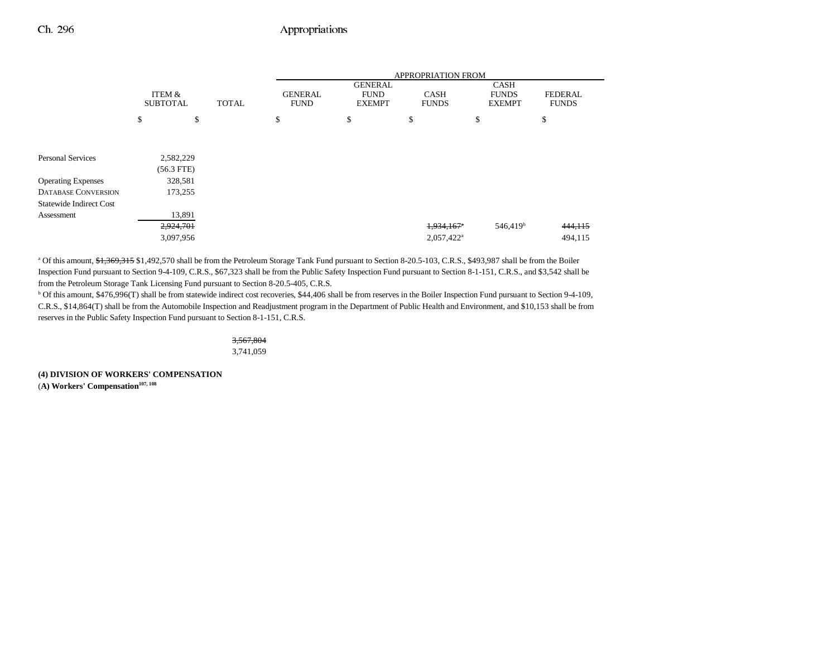|                                |                           |              |                               |                                                | <b>APPROPRIATION FROM</b>   |                                              |                         |
|--------------------------------|---------------------------|--------------|-------------------------------|------------------------------------------------|-----------------------------|----------------------------------------------|-------------------------|
|                                | ITEM &<br><b>SUBTOTAL</b> | <b>TOTAL</b> | <b>GENERAL</b><br><b>FUND</b> | <b>GENERAL</b><br><b>FUND</b><br><b>EXEMPT</b> | <b>CASH</b><br><b>FUNDS</b> | <b>CASH</b><br><b>FUNDS</b><br><b>EXEMPT</b> | FEDERAL<br><b>FUNDS</b> |
|                                | \$                        | \$           | \$                            | \$                                             | \$                          | \$                                           | \$                      |
|                                |                           |              |                               |                                                |                             |                                              |                         |
| <b>Personal Services</b>       | 2,582,229                 |              |                               |                                                |                             |                                              |                         |
|                                | $(56.3$ FTE)              |              |                               |                                                |                             |                                              |                         |
| <b>Operating Expenses</b>      | 328,581                   |              |                               |                                                |                             |                                              |                         |
| <b>DATABASE CONVERSION</b>     | 173,255                   |              |                               |                                                |                             |                                              |                         |
| <b>Statewide Indirect Cost</b> |                           |              |                               |                                                |                             |                                              |                         |
| Assessment                     | 13,891                    |              |                               |                                                |                             |                                              |                         |
|                                | 2,924,701                 |              |                               |                                                | 1,934,167                   | 546,419 <sup>b</sup>                         | 444, 115                |
|                                | 3,097,956                 |              |                               |                                                | 2,057,422 <sup>a</sup>      |                                              | 494,115                 |

a Of this amount, \$1,369,315 \$1,492,570 shall be from the Petroleum Storage Tank Fund pursuant to Section 8-20.5-103, C.R.S., \$493,987 shall be from the Boiler Inspection Fund pursuant to Section 9-4-109, C.R.S., \$67,323 shall be from the Public Safety Inspection Fund pursuant to Section 8-1-151, C.R.S., and \$3,542 shall be from the Petroleum Storage Tank Licensing Fund pursuant to Section 8-20.5-405, C.R.S.

b Of this amount, \$476,996(T) shall be from statewide indirect cost recoveries, \$44,406 shall be from reserves in the Boiler Inspection Fund pursuant to Section 9-4-109, C.R.S., \$14,864(T) shall be from the Automobile Inspection and Readjustment program in the Department of Public Health and Environment, and \$10,153 shall be from reserves in the Public Safety Inspection Fund pursuant to Section 8-1-151, C.R.S.

3,567,804

3,741,059

**(4) DIVISION OF WORKERS' COMPENSATION**  (A) Workers' Compensation<sup>107, 108</sup>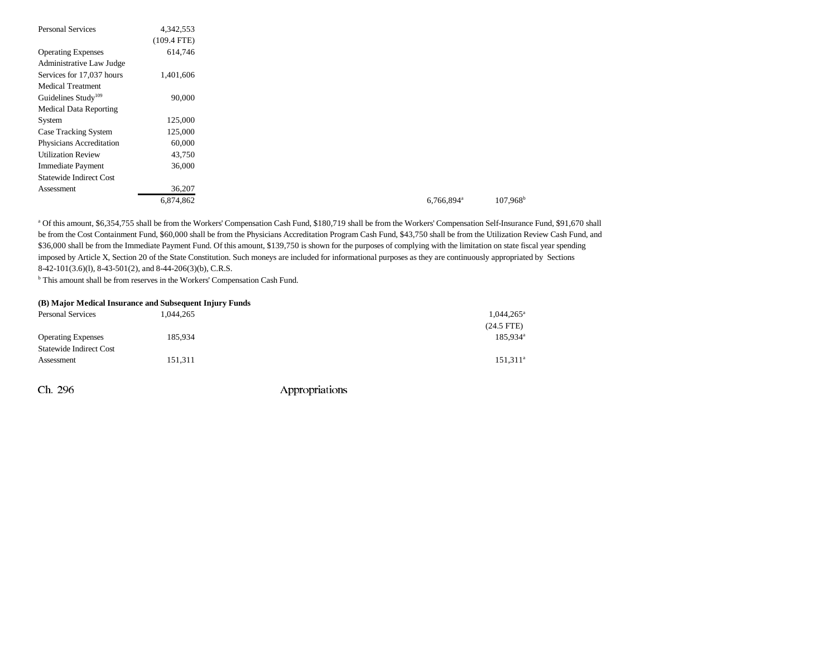| <b>Personal Services</b>        | 4,342,553     |
|---------------------------------|---------------|
|                                 | $(109.4$ FTE) |
| <b>Operating Expenses</b>       | 614,746       |
| Administrative Law Judge        |               |
| Services for 17,037 hours       | 1,401,606     |
| <b>Medical Treatment</b>        |               |
| Guidelines Study <sup>109</sup> | 90,000        |
| <b>Medical Data Reporting</b>   |               |
| System                          | 125,000       |
| Case Tracking System            | 125,000       |
| Physicians Accreditation        | 60,000        |
| <b>Utilization Review</b>       | 43,750        |
| Immediate Payment               | 36,000        |
| <b>Statewide Indirect Cost</b>  |               |
| Assessment                      | 36,207        |
|                                 | 6,874,862     |

a Of this amount, \$6,354,755 shall be from the Workers' Compensation Cash Fund, \$180,719 shall be from the Workers' Compensation Self-Insurance Fund, \$91,670 shall be from the Cost Containment Fund, \$60,000 shall be from the Physicians Accreditation Program Cash Fund, \$43,750 shall be from the Utilization Review Cash Fund, and \$36,000 shall be from the Immediate Payment Fund. Of this amount, \$139,750 is shown for the purposes of complying with the limitation on state fiscal year spending imposed by Article X, Section 20 of the State Constitution. Such moneys are included for informational purposes as they are continuously appropriated by Sections 8-42-101(3.6)(l), 8-43-501(2), and 8-44-206(3)(b), C.R.S.

b This amount shall be from reserves in the Workers' Compensation Cash Fund.

#### **(B) Major Medical Insurance and Subsequent Injury Funds**

| <b>Personal Services</b>       | 1,044,265 | $1,044,265^{\circ}$  |
|--------------------------------|-----------|----------------------|
|                                |           | $(24.5$ FTE)         |
| <b>Operating Expenses</b>      | 185,934   | 185,934 <sup>a</sup> |
| <b>Statewide Indirect Cost</b> |           |                      |
| Assessment                     | 151,311   | $151.311^a$          |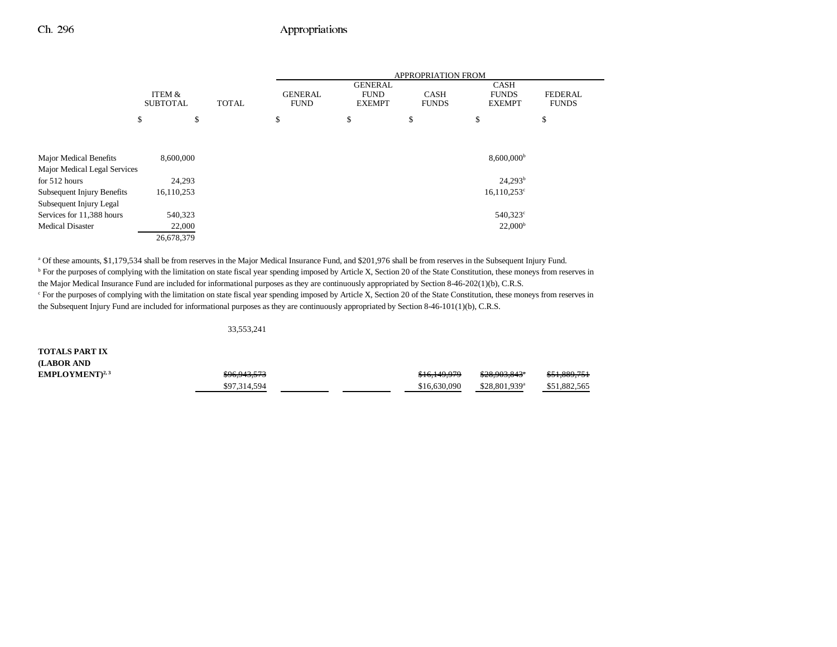|                               |                           |              |                               |                                                | <b>APPROPRIATION FROM</b>   |                                              |                                |
|-------------------------------|---------------------------|--------------|-------------------------------|------------------------------------------------|-----------------------------|----------------------------------------------|--------------------------------|
|                               | ITEM &<br><b>SUBTOTAL</b> | <b>TOTAL</b> | <b>GENERAL</b><br><b>FUND</b> | <b>GENERAL</b><br><b>FUND</b><br><b>EXEMPT</b> | <b>CASH</b><br><b>FUNDS</b> | <b>CASH</b><br><b>FUNDS</b><br><b>EXEMPT</b> | <b>FEDERAL</b><br><b>FUNDS</b> |
|                               | \$<br>\$                  |              | \$                            | \$                                             | \$                          | \$                                           | \$                             |
|                               |                           |              |                               |                                                |                             |                                              |                                |
| <b>Major Medical Benefits</b> | 8,600,000                 |              |                               |                                                |                             | $8,600,000$ <sup>b</sup>                     |                                |
| Major Medical Legal Services  |                           |              |                               |                                                |                             |                                              |                                |
| for 512 hours                 | 24,293                    |              |                               |                                                |                             | 24,293 <sup>b</sup>                          |                                |
| Subsequent Injury Benefits    | 16,110,253                |              |                               |                                                |                             | $16,110,253^{\circ}$                         |                                |
| Subsequent Injury Legal       |                           |              |                               |                                                |                             |                                              |                                |
| Services for 11,388 hours     | 540,323                   |              |                               |                                                |                             | $540,323^{\circ}$                            |                                |
| <b>Medical Disaster</b>       | 22,000                    |              |                               |                                                |                             | 22,000 <sup>b</sup>                          |                                |
|                               | 26,678,379                |              |                               |                                                |                             |                                              |                                |

a Of these amounts, \$1,179,534 shall be from reserves in the Major Medical Insurance Fund, and \$201,976 shall be from reserves in the Subsequent Injury Fund. <sup>b</sup> For the purposes of complying with the limitation on state fiscal year spending imposed by Article X, Section 20 of the State Constitution, these moneys from reserves in the Major Medical Insurance Fund are included for informational purposes as they are continuously appropriated by Section 8-46-202(1)(b), C.R.S. <sup>c</sup> For the purposes of complying with the limitation on state fiscal year spending imposed by Article X, Section 20 of the State Constitution, these moneys from reserves in the Subsequent Injury Fund are included for informational purposes as they are continuously appropriated by Section 8-46-101(1)(b), C.R.S.

33,553,241

**TOTALS PART IX (LABOR AND**  $EMPLOYMENT$ <sup>2,3</sup>

| 0.6042572    | 0.1610070    | <u>000 002 0424</u>        | 0.51000751   |
|--------------|--------------|----------------------------|--------------|
| 370.743.373  | J10,147,717  | 320.703.043                | 0.1007.771   |
| \$97.314.594 | \$16,630,090 | $$28.801.939$ <sup>a</sup> | \$51,882,565 |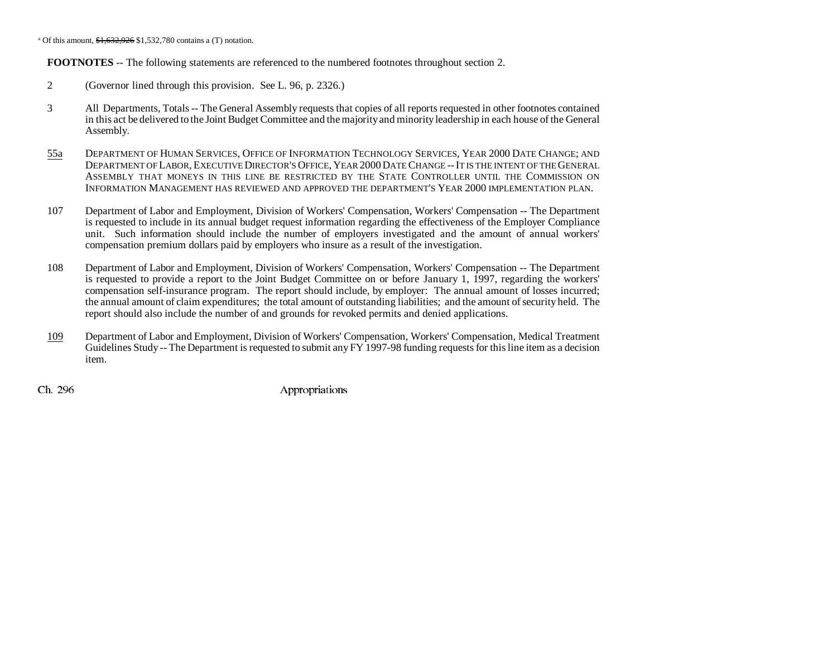<sup>a</sup> Of this amount,  $\frac{$1,632,926}{1,532,780}$  contains a (T) notation.

**FOOTNOTES** -- The following statements are referenced to the numbered footnotes throughout section 2.

- 2 (Governor lined through this provision. See L. 96, p. 2326.)
- 3 All Departments, Totals -- The General Assembly requests that copies of all reports requested in other footnotes contained in this act be delivered to the Joint Budget Committee and the majority and minority leadership in each house of the General Assembly.
- 55a DEPARTMENT OF HUMAN SERVICES, OFFICE OF INFORMATION TECHNOLOGY SERVICES, YEAR 2000 DATE CHANGE; AND Department of Labor, Executive Director's Office, Year 2000 Date Change -- It is the intent of the General ASSEMBLY THAT MONEYS IN THIS LINE BE RESTRICTED BY THE STATE CONTROLLER UNTIL THE COMMISSION ONINFORMATION MANAGEMENT HAS REVIEWED AND APPROVED THE DEPARTMENT'S YEAR 2000 IMPLEMENTATION PLAN.
- 107 Department of Labor and Employment, Division of Workers' Compensation, Workers' Compensation -- The Department is requested to include in its annual budget request information regarding the effectiveness of the Employer Compliance unit. Such information should include the number of employers investigated and the amount of annual workers' compensation premium dollars paid by employers who insure as a result of the investigation.
- 108 Department of Labor and Employment, Division of Workers' Compensation, Workers' Compensation -- The Department is requested to provide a report to the Joint Budget Committee on or before January 1, 1997, regarding the workers' compensation self-insurance program. The report should include, by employer: The annual amount of losses incurred; the annual amount of claim expenditures; the total amount of outstanding liabilities; and the amount of security held. The report should also include the number of and grounds for revoked permits and denied applications.
- 109 Department of Labor and Employment, Division of Workers' Compensation, Workers' Compensation, Medical Treatment Guidelines Study -- The Department is requested to submit any FY 1997-98 funding requests for this line item as a decision item.